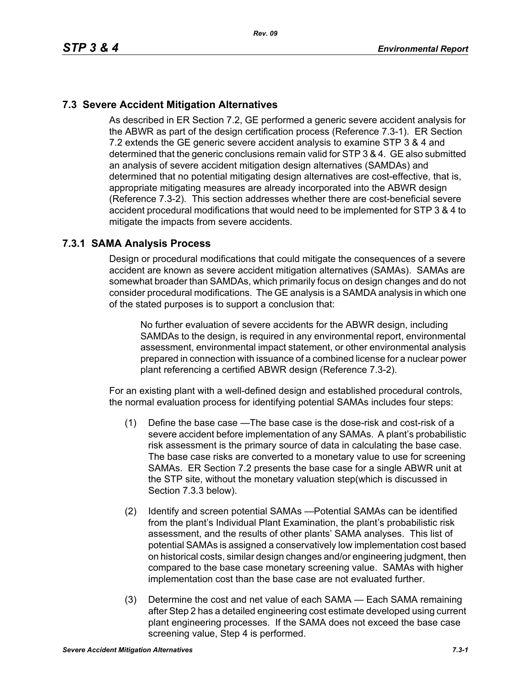# **7.3 Severe Accident Mitigation Alternatives**

As described in ER Section 7.2, GE performed a generic severe accident analysis for the ABWR as part of the design certification process (Reference 7.3-1). ER Section 7.2 extends the GE generic severe accident analysis to examine STP 3 & 4 and determined that the generic conclusions remain valid for STP 3 & 4. GE also submitted an analysis of severe accident mitigation design alternatives (SAMDAs) and determined that no potential mitigating design alternatives are cost-effective, that is, appropriate mitigating measures are already incorporated into the ABWR design (Reference 7.3-2). This section addresses whether there are cost-beneficial severe accident procedural modifications that would need to be implemented for STP 3 & 4 to mitigate the impacts from severe accidents.

### **7.3.1 SAMA Analysis Process**

Design or procedural modifications that could mitigate the consequences of a severe accident are known as severe accident mitigation alternatives (SAMAs). SAMAs are somewhat broader than SAMDAs, which primarily focus on design changes and do not consider procedural modifications. The GE analysis is a SAMDA analysis in which one of the stated purposes is to support a conclusion that:

No further evaluation of severe accidents for the ABWR design, including SAMDAs to the design, is required in any environmental report, environmental assessment, environmental impact statement, or other environmental analysis prepared in connection with issuance of a combined license for a nuclear power plant referencing a certified ABWR design (Reference 7.3-2).

For an existing plant with a well-defined design and established procedural controls, the normal evaluation process for identifying potential SAMAs includes four steps:

- (1) Define the base case —The base case is the dose-risk and cost-risk of a severe accident before implementation of any SAMAs. A plant's probabilistic risk assessment is the primary source of data in calculating the base case. The base case risks are converted to a monetary value to use for screening SAMAs. ER Section 7.2 presents the base case for a single ABWR unit at the STP site, without the monetary valuation step(which is discussed in Section 7.3.3 below).
- (2) Identify and screen potential SAMAs —Potential SAMAs can be identified from the plant's Individual Plant Examination, the plant's probabilistic risk assessment, and the results of other plants' SAMA analyses. This list of potential SAMAs is assigned a conservatively low implementation cost based on historical costs, similar design changes and/or engineering judgment, then compared to the base case monetary screening value. SAMAs with higher implementation cost than the base case are not evaluated further.
- (3) Determine the cost and net value of each SAMA Each SAMA remaining after Step 2 has a detailed engineering cost estimate developed using current plant engineering processes. If the SAMA does not exceed the base case screening value, Step 4 is performed.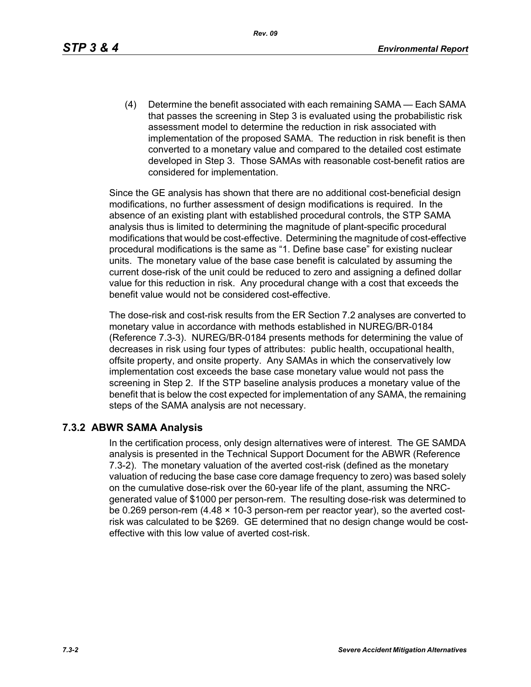*Rev. 09*

(4) Determine the benefit associated with each remaining SAMA — Each SAMA that passes the screening in Step 3 is evaluated using the probabilistic risk assessment model to determine the reduction in risk associated with implementation of the proposed SAMA. The reduction in risk benefit is then converted to a monetary value and compared to the detailed cost estimate developed in Step 3. Those SAMAs with reasonable cost-benefit ratios are considered for implementation.

Since the GE analysis has shown that there are no additional cost-beneficial design modifications, no further assessment of design modifications is required. In the absence of an existing plant with established procedural controls, the STP SAMA analysis thus is limited to determining the magnitude of plant-specific procedural modifications that would be cost-effective. Determining the magnitude of cost-effective procedural modifications is the same as "1. Define base case" for existing nuclear units. The monetary value of the base case benefit is calculated by assuming the current dose-risk of the unit could be reduced to zero and assigning a defined dollar value for this reduction in risk. Any procedural change with a cost that exceeds the benefit value would not be considered cost-effective.

The dose-risk and cost-risk results from the ER Section 7.2 analyses are converted to monetary value in accordance with methods established in NUREG/BR-0184 (Reference 7.3-3). NUREG/BR-0184 presents methods for determining the value of decreases in risk using four types of attributes: public health, occupational health, offsite property, and onsite property. Any SAMAs in which the conservatively low implementation cost exceeds the base case monetary value would not pass the screening in Step 2. If the STP baseline analysis produces a monetary value of the benefit that is below the cost expected for implementation of any SAMA, the remaining steps of the SAMA analysis are not necessary.

### **7.3.2 ABWR SAMA Analysis**

In the certification process, only design alternatives were of interest. The GE SAMDA analysis is presented in the Technical Support Document for the ABWR (Reference 7.3-2). The monetary valuation of the averted cost-risk (defined as the monetary valuation of reducing the base case core damage frequency to zero) was based solely on the cumulative dose-risk over the 60-year life of the plant, assuming the NRCgenerated value of \$1000 per person-rem. The resulting dose-risk was determined to be 0.269 person-rem (4.48 × 10-3 person-rem per reactor year), so the averted costrisk was calculated to be \$269. GE determined that no design change would be costeffective with this low value of averted cost-risk.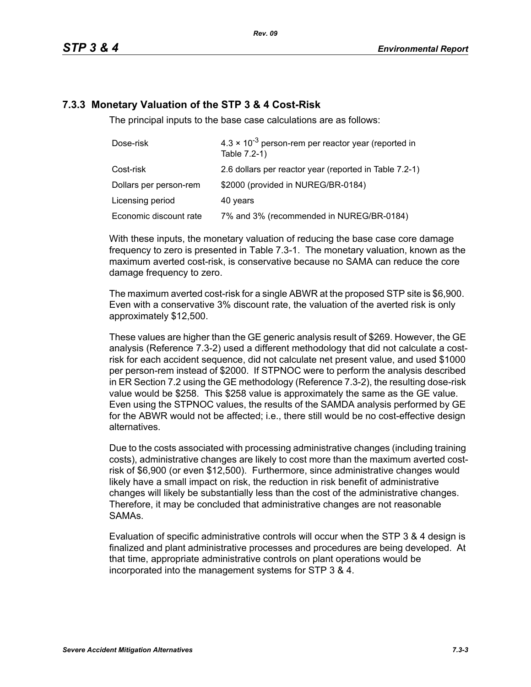## **7.3.3 Monetary Valuation of the STP 3 & 4 Cost-Risk**

The principal inputs to the base case calculations are as follows:

| Dose-risk              | $4.3 \times 10^{-3}$ person-rem per reactor year (reported in<br>Table 7.2-1) |
|------------------------|-------------------------------------------------------------------------------|
| Cost-risk              | 2.6 dollars per reactor year (reported in Table 7.2-1)                        |
| Dollars per person-rem | \$2000 (provided in NUREG/BR-0184)                                            |
| Licensing period       | 40 years                                                                      |
| Economic discount rate | 7% and 3% (recommended in NUREG/BR-0184)                                      |

With these inputs, the monetary valuation of reducing the base case core damage frequency to zero is presented in Table 7.3-1. The monetary valuation, known as the maximum averted cost-risk, is conservative because no SAMA can reduce the core damage frequency to zero.

The maximum averted cost-risk for a single ABWR at the proposed STP site is \$6,900. Even with a conservative 3% discount rate, the valuation of the averted risk is only approximately \$12,500.

These values are higher than the GE generic analysis result of \$269. However, the GE analysis (Reference 7.3-2) used a different methodology that did not calculate a costrisk for each accident sequence, did not calculate net present value, and used \$1000 per person-rem instead of \$2000. If STPNOC were to perform the analysis described in ER Section 7.2 using the GE methodology (Reference 7.3-2), the resulting dose-risk value would be \$258. This \$258 value is approximately the same as the GE value. Even using the STPNOC values, the results of the SAMDA analysis performed by GE for the ABWR would not be affected; i.e., there still would be no cost-effective design alternatives.

Due to the costs associated with processing administrative changes (including training costs), administrative changes are likely to cost more than the maximum averted costrisk of \$6,900 (or even \$12,500). Furthermore, since administrative changes would likely have a small impact on risk, the reduction in risk benefit of administrative changes will likely be substantially less than the cost of the administrative changes. Therefore, it may be concluded that administrative changes are not reasonable SAMAs.

Evaluation of specific administrative controls will occur when the STP 3 & 4 design is finalized and plant administrative processes and procedures are being developed. At that time, appropriate administrative controls on plant operations would be incorporated into the management systems for STP 3 & 4.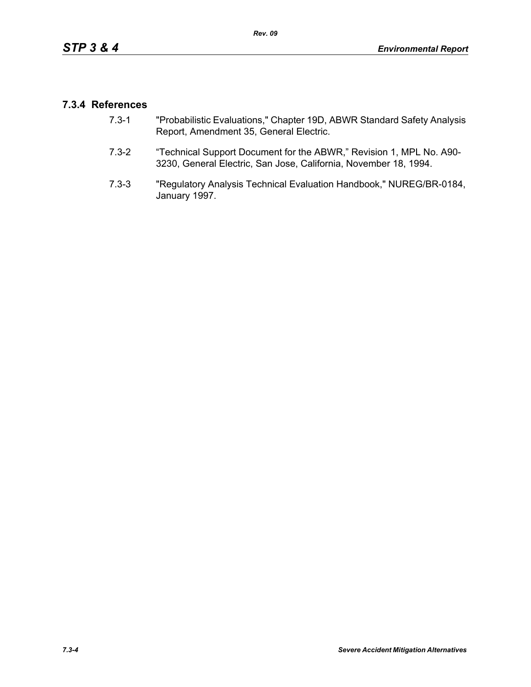## **7.3.4 References**

- 7.3-1 "Probabilistic Evaluations," Chapter 19D, ABWR Standard Safety Analysis Report, Amendment 35, General Electric.
- 7.3-2 "Technical Support Document for the ABWR," Revision 1, MPL No. A90- 3230, General Electric, San Jose, California, November 18, 1994.
- 7.3-3 "Regulatory Analysis Technical Evaluation Handbook," NUREG/BR-0184, January 1997.